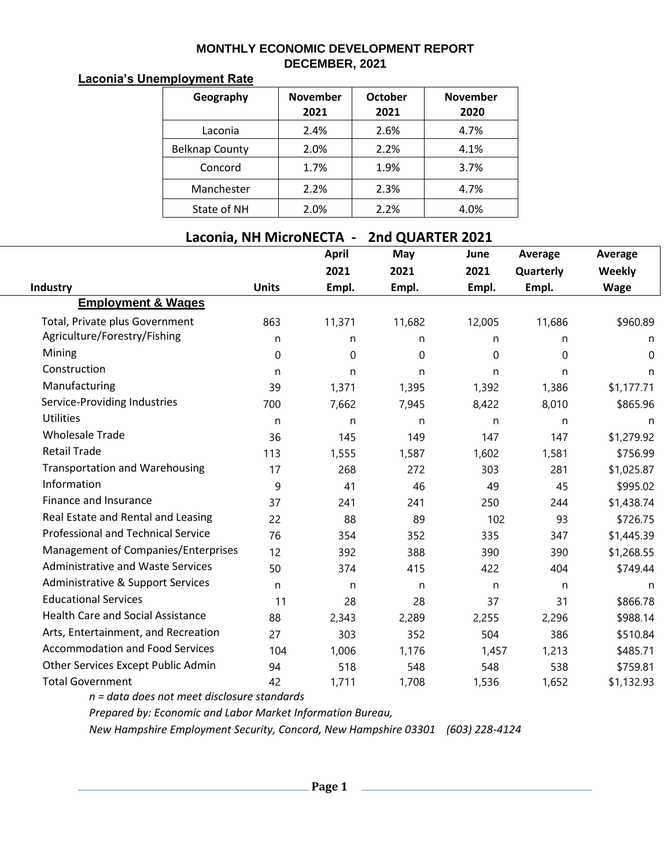## **MONTHLY ECONOMIC DEVELOPMENT REPORT DECEMBER, 2021**

## **Laconia's Unemployment Rate**

| Geography             | <b>November</b><br>2021 | <b>October</b><br>2021 | <b>November</b><br>2020 |
|-----------------------|-------------------------|------------------------|-------------------------|
| Laconia               | 2.4%                    | 2.6%                   | 4.7%                    |
| <b>Belknap County</b> | 2.0%                    | 2.2%                   | 4.1%                    |
| Concord               | 1.7%                    | 1.9%                   | 3.7%                    |
| Manchester            | 2.2%                    | 2.3%                   | 4.7%                    |
| State of NH           | 2.0%                    | 2.2%                   | 4.0%                    |

## **Laconia, NH MicroNECTA - 2nd QUARTER 2021**

|                                           |              | <b>April</b> | May    | June   | Average     | Average       |
|-------------------------------------------|--------------|--------------|--------|--------|-------------|---------------|
|                                           |              | 2021         | 2021   | 2021   | Quarterly   | <b>Weekly</b> |
| Industry                                  | <b>Units</b> | Empl.        | Empl.  | Empl.  | Empl.       | <b>Wage</b>   |
| <b>Employment &amp; Wages</b>             |              |              |        |        |             |               |
| Total, Private plus Government            | 863          | 11,371       | 11,682 | 12,005 | 11,686      | \$960.89      |
| Agriculture/Forestry/Fishing              | n            | n            | n      | n      | n           | n             |
| Mining                                    | $\mathbf 0$  | 0            | 0      | 0      | $\mathbf 0$ | $\Omega$      |
| Construction                              | n            | n            | n      | n      | n           | n             |
| Manufacturing                             | 39           | 1,371        | 1,395  | 1,392  | 1,386       | \$1,177.71    |
| Service-Providing Industries              | 700          | 7,662        | 7,945  | 8,422  | 8,010       | \$865.96      |
| <b>Utilities</b>                          | n            | n            | n      | n      | n           | n             |
| <b>Wholesale Trade</b>                    | 36           | 145          | 149    | 147    | 147         | \$1,279.92    |
| <b>Retail Trade</b>                       | 113          | 1,555        | 1,587  | 1,602  | 1,581       | \$756.99      |
| <b>Transportation and Warehousing</b>     | 17           | 268          | 272    | 303    | 281         | \$1,025.87    |
| Information                               | 9            | 41           | 46     | 49     | 45          | \$995.02      |
| Finance and Insurance                     | 37           | 241          | 241    | 250    | 244         | \$1,438.74    |
| Real Estate and Rental and Leasing        | 22           | 88           | 89     | 102    | 93          | \$726.75      |
| <b>Professional and Technical Service</b> | 76           | 354          | 352    | 335    | 347         | \$1,445.39    |
| Management of Companies/Enterprises       | 12           | 392          | 388    | 390    | 390         | \$1,268.55    |
| <b>Administrative and Waste Services</b>  | 50           | 374          | 415    | 422    | 404         | \$749.44      |
| Administrative & Support Services         | n            | n            | n      | n      | n           | n             |
| <b>Educational Services</b>               | 11           | 28           | 28     | 37     | 31          | \$866.78      |
| <b>Health Care and Social Assistance</b>  | 88           | 2,343        | 2,289  | 2,255  | 2,296       | \$988.14      |
| Arts, Entertainment, and Recreation       | 27           | 303          | 352    | 504    | 386         | \$510.84      |
| <b>Accommodation and Food Services</b>    | 104          | 1,006        | 1,176  | 1,457  | 1,213       | \$485.71      |
| Other Services Except Public Admin        | 94           | 518          | 548    | 548    | 538         | \$759.81      |
| <b>Total Government</b>                   | 42           | 1,711        | 1,708  | 1,536  | 1,652       | \$1,132.93    |

*n = data does not meet disclosure standards*

*Prepared by: Economic and Labor Market Information Bureau,*

*New Hampshire Employment Security, Concord, New Hampshire 03301 (603) 228-4124*